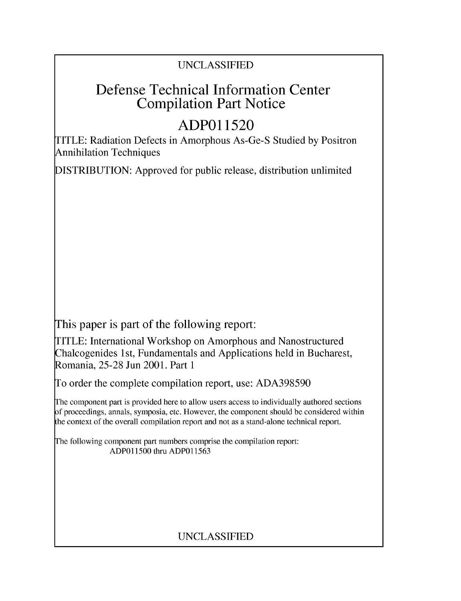### UNCLASSIFIED

## Defense Technical Information Center Compilation Part Notice

# **ADPO11520**

TITLE: Radiation Defects in Amorphous As-Ge-S Studied by Positron Annihilation Techniques

DISTRIBUTION: Approved for public release, distribution unlimited

This paper is part of the following report:

TITLE: International Workshop on Amorphous and Nanostructured Chalcogenides 1 st, Fundamentals and Applications held in Bucharest, Romania, 25-28 Jun 2001. Part 1

To order the complete compilation report, use: ADA398590

The component part is provided here to allow users access to individually authored sections f proceedings, annals, symposia, etc. However, the component should be considered within [he context of the overall compilation report and not as a stand-alone technical report.

The following component part numbers comprise the compilation report: ADPO11500 thru ADP011563

## UNCLASSIFIED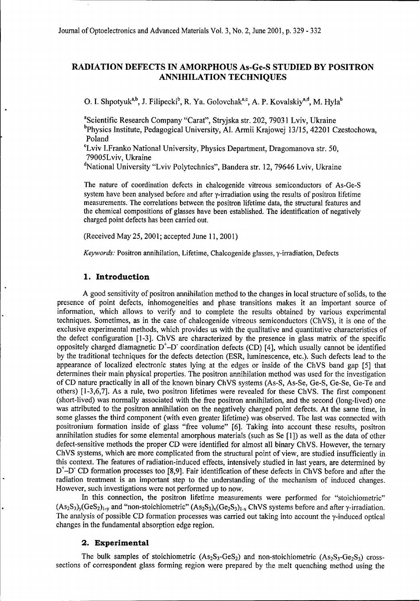### RADIATION **DEFECTS IN** AMORPHOUS As-Ge-S **STUDIED** BY POSITRON **ANNIHILATION TECHNIQUES**

**O. I. Shpotyuk<sup>a,b</sup>**, J. Filipecki<sup>b</sup>, R. Ya. Golovchak<sup>a,c</sup>, A. P. Kovalskiy<sup>a,d</sup>, M. Hyla<sup>b</sup>

<sup>a</sup>Scientific Research Company "Carat", Stryjska str. 202, 79031 Lviv, Ukraine bphysics Institute, Pedagogical University, **Al.** Armii Krajowej 13/15, 42201 Czestochowa, Poland

**CLviv** I.Franko National University, Physics Department, Dragomanova str. 50, 79005Lviv, Ukraine<br><sup>d</sup>National University "Lviv Polytechnics", Bandera str. 12, 79646 Lviv, Ukraine

The nature of coordination defects in chalcogenide vitreous semiconductors of As-Ge-S system have been analysed before and after  $\gamma$ -irradiation using the results of positron lifetime measurements. The correlations between the positron lifetime data, the structural features and the chemical compositions of glasses have been established. The identification of negatively charged point defects has been carried out.

(Received May 25, 2001; accepted June 11, 2001)

*Keywords:* Positron annihilation, Lifetime, Chalcogenide glasses, y-irradiation, Defects

#### **1.** Introduction

A good sensitivity of positron annihilation method to the changes in local structure of solids, to the presence of point defects, inhomogeneities and phase transitions makes it an important source of information, which allows to verify and to complete the results obtained by various experimental techniques. Sometimes, as in the case of chalcogenide vitreous semiconductors (ChVS), it is one of the exclusive experimental methods, which provides us with the qualitative and quantitative characteristics of the defect configuration [1-3]. ChVS are characterized by the presence in glass matrix of the specific oppositely charged diamagnetic  $D^{\dagger}$ -D coordination defects (CD) [4], which usually cannot be identified by the traditional techniques for the defects detection (ESR, luminescence, etc.). Such defects lead to the appearance of localized electronic states lying at the edges or inside of the ChVS band gap [5] that determines their main physical properties. The positron annihilation method was used for the investigation of CD nature practically in all of the known binary ChVS systems (As-S, As-Se, Ge-S, Ge-Se, Ge-Te and others) [1-3,6,7]. As a rule, two positron lifetimes were revealed for these ChVS. The first component (short-lived) was normally associated with the free positron annihilation, and the second (long-lived) one was attributed to the positron annihilation on the negatively charged point defects. At the same time, in some glasses the third component (with even greater lifetime) was observed. The last was connected with positronium formation inside of glass "free volume" [6]. Taking into account these results, positron annihilation studies for some elemental amorphous materials (such as Se [1]) as well as the data of other defect-sensitive methods the proper CD were identified for almost all binary ChVS. However, the ternary ChVS systems, which are more complicated from the structural point of view, are studied insufficiently in this context. The features of radiation-induced effects, intensively studied in last years, are determined by **D<sup>+</sup>-D** CD formation processes too [8,9]. Fair identification of these defects in ChVS before and after the radiation treatment is an important step to the understanding of the mechanism of induced changes. However, such investigations were not performed up to now.

In this connection, the positron lifetime measurements were performed for "stoichiometric"  $(As_2S_3)_{y}(GeS_2)_{1-y}$  and "non-stoichiometric"  $(As_2S_3)_{x}(Ge_2S_3)_{1-x}$  ChVS systems before and after y-irradiation. The analysis of possible CD formation processes was carried out taking into account the  $\gamma$ -induced optical changes in the fundamental absorption edge region.

#### 2. Experimental

The bulk samples of stoichiometric  $(As_2S_3-GeS_2)$  and non-stoichiometric  $(As_2S_3-Ge_2S_3)$  crosssections of correspondent glass forming region were prepared by the melt quenching method using the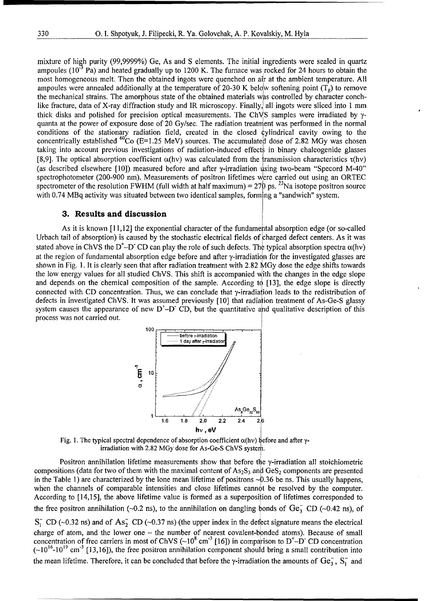mixture of high purity (99,9999%) Ge, As and S elements. The initial ingredients were sealed in quartz ampoules (10<sup>-3</sup> Pa) and heated gradually up to 1200 K. The furnace was rocked for 24 hours to obtain the most homogeneous melt. Then the obtained ingots were quenched on air at the ambient temperature. All ampoules were annealed additionally at the temperature of 20-30 K below softening point  $(T_{g})$  to remove the mechanical strains. The amorphous state of the obtained materials was controlled by character conchlike fracture, data of X-ray diffraction study and IR microscopy. Finally, all ingots were sliced into 1 mm thick disks and polished for precision optical measurements. The ChVS samples were irradiated by  $\gamma$ quanta at the power of exposure dose of 20 Gy/sec. The radiation treatnient was performed in the normal conditions of the stationary radiation field, created in the closed {ylindrical cavity owing to the concentrically established <sup>60</sup>Co (E=1.25 MeV) sources. The accumulated dose of 2.82 MGy was chosen taking into account previous investigations of radiation-induced effects in binary chalcogenide glasses [8,9]. The optical absorption coefficient  $\alpha$ (hv) was calculated from the transmission characteristics  $\tau$ (hv) (as described elsewhere [10]) measured before and after  $\gamma$ -irradiation using two-beam "Specord M-40" spectrophotometer (200-900 nm). Measurements of positron lifetimes were carried out using an ORTEC spectrometer of the resolution FWHM (full width at half maximum) =  $27\beta$  ps. <sup>22</sup>Na isotope positron source with 0.74 MBq activity was situated between two identical samples, forming a "sandwich" system.

#### **3.** Results and discussion

As it is known [11,12] the exponential character of the fundamental absorption edge (or so-called Urbach tail of absorption) is caused by the stochastic electrical fields of charged defect centers. As it was stated above in ChVS the  $D^{\dagger}$ -D<sup>-</sup> CD can play the role of such defects. The typical absorption spectra  $\alpha$ (hv) at the region of fundamental absorption edge before and after y-irradiation for the investigated glasses are shown in Fig. 1. It is clearly seen that after radiation treatment with 2.82 MGy dose the edge shifts towards the low energy values for all studied ChVS. This shift is accompanied with the changes in the edge slope and depends on the chemical composition of the sample. According to [13], the edge slope is directly connected with CD concentration. Thus, we can conclude that y-irradiation leads to the redistribution of defects in investigated ChVS. It was assumed previously [10] that radiation treatment of As-Ge-S glassy system causes the appearance of new  $D^{\dagger}$ -D CD, but the quantitative and qualitative description of this process was not carried out.



Fig. 1. The typical spectral dependence of absorption coefficient  $\alpha$ (hv) before and after  $\gamma$ irradiation with 2.82 MGy dose for As-Ge-S ChVS system.

Positron annihilation lifetime measurements show that before the  $\gamma$ -irradiation all stoichiometric compositions (data for two of them with the maximal content of  $As_2S_3$  and  $GeS_2$  components are presented in the Table 1) are characterized by the lone mean lifetime of positrons  $\sim 0.36$  be ns. This usually happens, when the channels of comparable intensities and close lifetimes cannot be resolved by the computer. According to [14,15], the above lifetime value is formed as a superposition of lifetimes corresponded to the free positron annihilation ( $-0.2$  ns), to the annihilation on dangling bonds of Ge<sub>3</sub> CD ( $-0.42$  ns), of

 $S_1^-$  CD ( $\sim$ 0.32 ns) and of As<sub>2</sub> CD ( $\sim$ 0.37 ns) (the upper index in the defect signature means the electrical charge of atom, and the lower one - the number of nearest covalent-bonded atoms). Because of small concentration of free carriers in most of ChVS  $(\sim 10^8 \text{ cm}^3 \text{ [16]})$  in comparison to D<sup>+</sup>-D<sup>-</sup> CD concentration  $({\sim}10^{16}\text{-}10^{19}\text{ cm}^{-3}$  [13,16]), the free positron annihilation component should bring a small contribution into the mean lifetime. Therefore, it can be concluded that before the  $\gamma$ -irradiation the amounts of  $Ge_3$ ,  $S_1^-$  and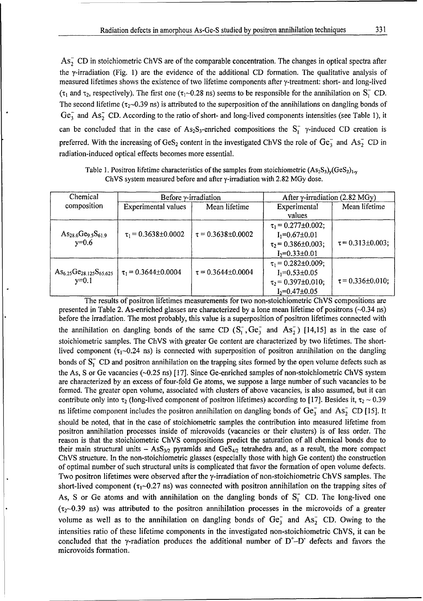As<sub>2</sub> CD in stoichiometric ChVS are of the comparable concentration. The changes in optical spectra after the y-irradiation (Fig. 1) are the evidence of the additional CD formation. The qualitative analysis of measured lifetimes shows the existence of two lifetime components after 7-treatment: short- and long-lived ( $\tau_1$  and  $\tau_2$ , respectively). The first one ( $\tau_1$ ~0.28 ns) seems to be responsible for the annihilation on S<sub>1</sub><sup>-</sup> CD. The second lifetime ( $\tau_2$ -0.39 ns) is attributed to the superposition of the annihilations on dangling bonds of  $Ge<sub>3</sub>$  and As<sub>2</sub> CD. According to the ratio of short- and long-lived components intensities (see Table 1), it can be concluded that in the case of As<sub>2</sub>S<sub>3</sub>-enriched compositions the  $S_1^ \gamma$ -induced CD creation is preferred. With the increasing of GeS<sub>2</sub> content in the investigated ChVS the role of Ge<sub>3</sub> and As<sub>2</sub> CD in radiation-induced optical effects becomes more essential.

| Chemical                         | Before y-irradiation     |                            | After $\gamma$ -irradiation (2.82 MGy) |                       |
|----------------------------------|--------------------------|----------------------------|----------------------------------------|-----------------------|
| composition                      | Experimental values      | Mean lifetime              | Experimental<br>values                 | Mean lifetime         |
|                                  |                          |                            | $\tau_1$ = 0.277±0.002;                |                       |
| $As_{28.6}Ge_{9.5}S_{61.9}$      | $\tau_1$ = 0.3638±0.0002 | $\tau = 0.3638 \pm 0.0002$ | $I_1 = 0.67 \pm 0.01$                  |                       |
| $y=0.6$                          |                          |                            | $\tau_2$ = 0.386±0.003;                | $\tau$ = 0.313±0.003; |
|                                  |                          |                            | $I_2 = 0.33 \pm 0.01$                  |                       |
|                                  |                          |                            | $\tau_1$ = 0.282±0.009;                |                       |
| $As_{6.25}Ge_{28.125}S_{65.625}$ | $\tau_1$ = 0.3644±0.0004 | $\tau = 0.3644 \pm 0.0004$ | $I_1 = 0.53 \pm 0.05$                  |                       |
| $y=0.1$                          |                          |                            | $\tau_2$ = 0.397±0.010;                | $\tau$ = 0.336±0.010; |
|                                  |                          |                            | $I_2 = 0.47 \pm 0.05$                  |                       |

Table 1. Positron lifetime characteristics of the samples from stoichiometric  $(As_2S_3)_{\nu}(GeS_2)_{1-\nu}$ ChVS system measured before and after y-irradiation with 2.82 MGy dose.

The results of positron lifetimes measurements for two non-stoichiometric ChVS compositions are presented in Table 2. As-enriched glasses are characterized by a lone mean lifetime of positrons (-0.34 ns) before the irradiation. The most probably, this value is a superposition of positron lifetimes connected with the annihilation on dangling bonds of the same CD  $(S_1, G_2, G_3)$  and  $As_2$ <sup>1</sup> [14,15] as in the case of stoichiometric samples. The ChVS with greater Ge content are characterized by two lifetimes. The shortlived component ( $\tau_1$ -0.24 ns) is connected with superposition of positron annihilation on the dangling bonds of  $S_1^-$  CD and positron annihilation on the trapping sites formed by the open volume defects such as the As, S or Ge vacancies (-0.25 ns) [ 17]. Since Ge-enriched samples of non-stoichiometric ChVS system are characterized by an excess of four-fold Ge atoms, we suppose a large number of such vacancies to be formed. The greater open volume, associated with clusters of above vacancies, is also assumed, but it can contribute only into  $\tau_2$  (long-lived component of positron lifetimes) according to [17]. Besides it,  $\tau_2 \sim 0.39$ ns lifetime component includes the positron annihilation on dangling bonds of  $Ge_3^-$  and As<sub>2</sub> CD [15]. It should be noted, that in the case of stoichiometric samples the contribution into measured lifetime from positron annihilation processes inside of microvoids (vacancies or their clusters) is of less order. The reason is that the stoichiometric ChVS compositions predict the saturation of all chemical bonds due to their main structural units  $-$  AsS<sub>3/2</sub> pyramids and GeS<sub>4/2</sub> tetrahedra and, as a result, the more compact ChVS structure. In the non-stoichiometric glasses (especially those with high Ge content) the construction of optimal number of such structural units is complicated that favor the formation of open volume defects. Two positron lifetimes were observed after the y-irradiation of non-stoichiometric ChVS samples. The short-lived component ( $\tau_1$ -0.27 ns) was connected with positron annihilation on the trapping sites of As, S or Ge atoms and with annihilation on the dangling bonds of S<sub>1</sub> CD. The long-lived one  $(\tau_2$ -0.39 ns) was attributed to the positron annihilation processes in the microvoids of a greater volume as well as to the annihilation on dangling bonds of  $Ge_3^-$  and  $As_2^-$  CD. Owing to the intensities ratio of these lifetime components in the investigated non-stoichiometric ChVS, it can be concluded that the y-radiation produces the additional number of  $D^{\dagger}-D^-$  defects and favors the microvoids formation.